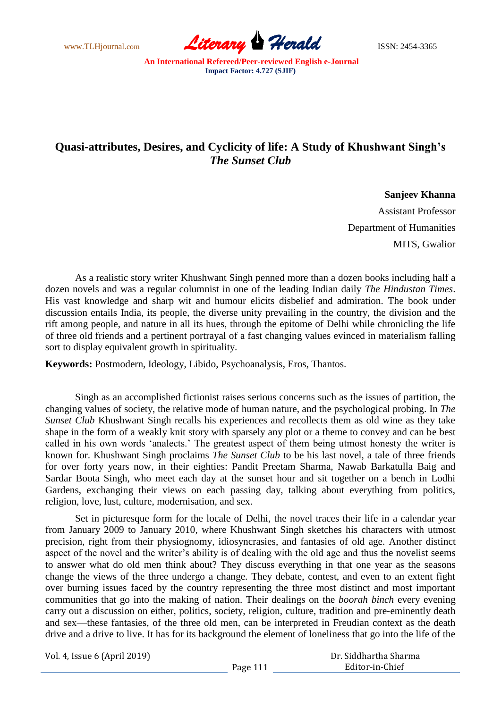www.TLHjournal.com **Literary Herald Herald** ISSN: 2454-3365

## **Quasi-attributes, Desires, and Cyclicity of life: A Study of Khushwant Singh's**  *The Sunset Club*

## **Sanjeev Khanna**

Assistant Professor Department of Humanities MITS, Gwalior

As a realistic story writer Khushwant Singh penned more than a dozen books including half a dozen novels and was a regular columnist in one of the leading Indian daily *The Hindustan Times*. His vast knowledge and sharp wit and humour elicits disbelief and admiration. The book under discussion entails India, its people, the diverse unity prevailing in the country, the division and the rift among people, and nature in all its hues, through the epitome of Delhi while chronicling the life of three old friends and a pertinent portrayal of a fast changing values evinced in materialism falling sort to display equivalent growth in spirituality.

**Keywords:** Postmodern, Ideology, Libido, Psychoanalysis, Eros, Thantos.

Singh as an accomplished fictionist raises serious concerns such as the issues of partition, the changing values of society, the relative mode of human nature, and the psychological probing. In *The Sunset Club* Khushwant Singh recalls his experiences and recollects them as old wine as they take shape in the form of a weakly knit story with sparsely any plot or a theme to convey and can be best called in his own words "analects." The greatest aspect of them being utmost honesty the writer is known for. Khushwant Singh proclaims *The Sunset Club* to be his last novel, a tale of three friends for over forty years now, in their eighties: Pandit Preetam Sharma, Nawab Barkatulla Baig and Sardar Boota Singh, who meet each day at the sunset hour and sit together on a bench in Lodhi Gardens, exchanging their views on each passing day, talking about everything from politics, religion, love, lust, culture, modernisation, and sex.

Set in picturesque form for the locale of Delhi, the novel traces their life in a calendar year from January 2009 to January 2010, where Khushwant Singh sketches his characters with utmost precision, right from their physiognomy, idiosyncrasies, and fantasies of old age. Another distinct aspect of the novel and the writer's ability is of dealing with the old age and thus the novelist seems to answer what do old men think about? They discuss everything in that one year as the seasons change the views of the three undergo a change. They debate, contest, and even to an extent fight over burning issues faced by the country representing the three most distinct and most important communities that go into the making of nation. Their dealings on the *boorah binch* every evening carry out a discussion on either, politics, society, religion, culture, tradition and pre-eminently death and sex—these fantasies, of the three old men, can be interpreted in Freudian context as the death drive and a drive to live. It has for its background the element of loneliness that go into the life of the

Vol. 4, Issue 6 (April 2019)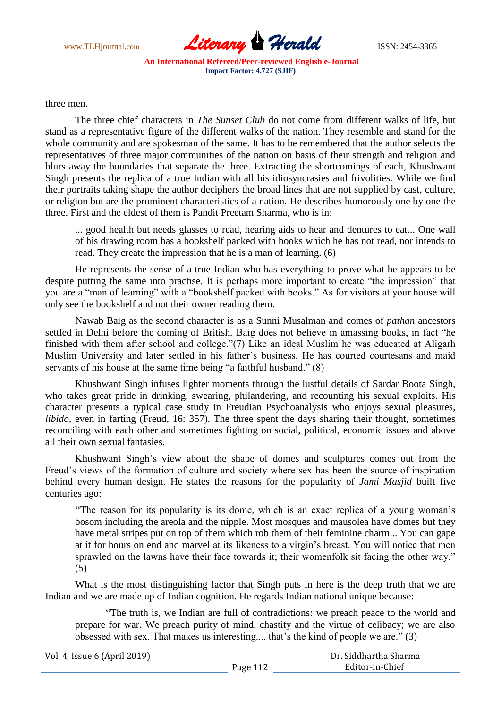

three men.

The three chief characters in *The Sunset Club* do not come from different walks of life, but stand as a representative figure of the different walks of the nation. They resemble and stand for the whole community and are spokesman of the same. It has to be remembered that the author selects the representatives of three major communities of the nation on basis of their strength and religion and blurs away the boundaries that separate the three. Extracting the shortcomings of each, Khushwant Singh presents the replica of a true Indian with all his idiosyncrasies and frivolities. While we find their portraits taking shape the author deciphers the broad lines that are not supplied by cast, culture, or religion but are the prominent characteristics of a nation. He describes humorously one by one the three. First and the eldest of them is Pandit Preetam Sharma, who is in:

... good health but needs glasses to read, hearing aids to hear and dentures to eat... One wall of his drawing room has a bookshelf packed with books which he has not read, nor intends to read. They create the impression that he is a man of learning. (6)

He represents the sense of a true Indian who has everything to prove what he appears to be despite putting the same into practise. It is perhaps more important to create "the impression" that you are a "man of learning" with a "bookshelf packed with books." As for visitors at your house will only see the bookshelf and not their owner reading them.

Nawab Baig as the second character is as a Sunni Musalman and comes of *pathan* ancestors settled in Delhi before the coming of British. Baig does not believe in amassing books, in fact "he finished with them after school and college."(7) Like an ideal Muslim he was educated at Aligarh Muslim University and later settled in his father's business. He has courted courtesans and maid servants of his house at the same time being "a faithful husband." (8)

Khushwant Singh infuses lighter moments through the lustful details of Sardar Boota Singh, who takes great pride in drinking, swearing, philandering, and recounting his sexual exploits. His character presents a typical case study in Freudian Psychoanalysis who enjoys sexual pleasures, *libido*, even in farting (Freud, 16: 357). The three spent the days sharing their thought, sometimes reconciling with each other and sometimes fighting on social, political, economic issues and above all their own sexual fantasies.

Khushwant Singh"s view about the shape of domes and sculptures comes out from the Freud's views of the formation of culture and society where sex has been the source of inspiration behind every human design. He states the reasons for the popularity of *Jami Masjid* built five centuries ago:

"The reason for its popularity is its dome, which is an exact replica of a young woman"s bosom including the areola and the nipple. Most mosques and mausolea have domes but they have metal stripes put on top of them which rob them of their feminine charm... You can gape at it for hours on end and marvel at its likeness to a virgin"s breast. You will notice that men sprawled on the lawns have their face towards it; their womenfolk sit facing the other way." (5)

What is the most distinguishing factor that Singh puts in here is the deep truth that we are Indian and we are made up of Indian cognition. He regards Indian national unique because:

"The truth is, we Indian are full of contradictions: we preach peace to the world and prepare for war. We preach purity of mind, chastity and the virtue of celibacy; we are also obsessed with sex. That makes us interesting.... that"s the kind of people we are." (3)

| Vol. 4, Issue 6 (April 2019) |          | Dr. Siddhartha Sharma |  |
|------------------------------|----------|-----------------------|--|
|                              | Page 112 | Editor-in-Chief       |  |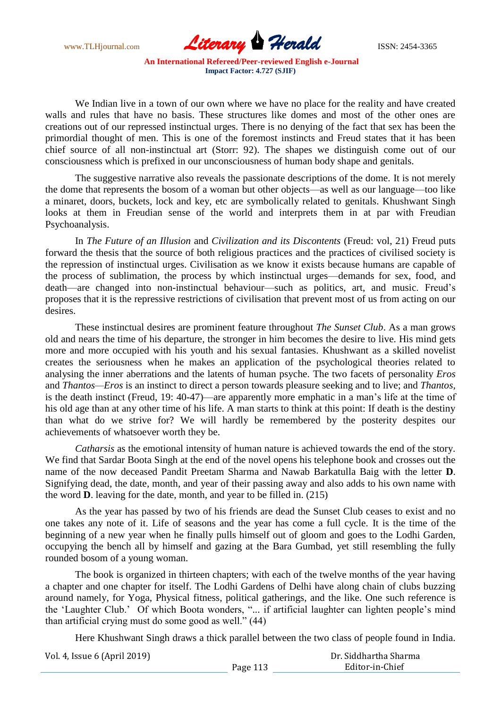www.TLHjournal.com **Literary Herald Herald** ISSN: 2454-3365 **An International Refereed/Peer-reviewed English e-Journal Impact Factor: 4.727 (SJIF)**

We Indian live in a town of our own where we have no place for the reality and have created walls and rules that have no basis. These structures like domes and most of the other ones are creations out of our repressed instinctual urges. There is no denying of the fact that sex has been the primordial thought of men. This is one of the foremost instincts and Freud states that it has been chief source of all non-instinctual art (Storr: 92). The shapes we distinguish come out of our consciousness which is prefixed in our unconsciousness of human body shape and genitals.

The suggestive narrative also reveals the passionate descriptions of the dome. It is not merely the dome that represents the bosom of a woman but other objects—as well as our language—too like a minaret, doors, buckets, lock and key, etc are symbolically related to genitals. Khushwant Singh looks at them in Freudian sense of the world and interprets them in at par with Freudian Psychoanalysis.

In *The Future of an Illusion* and *Civilization and its Discontents* (Freud: vol, 21) Freud puts forward the thesis that the source of both religious practices and the practices of civilised society is the repression of instinctual urges. Civilisation as we know it exists because humans are capable of the process of sublimation, the process by which instinctual urges—demands for sex, food, and death—are changed into non-instinctual behaviour—such as politics, art, and music. Freud"s proposes that it is the repressive restrictions of civilisation that prevent most of us from acting on our desires.

These instinctual desires are prominent feature throughout *The Sunset Club*. As a man grows old and nears the time of his departure, the stronger in him becomes the desire to live. His mind gets more and more occupied with his youth and his sexual fantasies. Khushwant as a skilled novelist creates the seriousness when he makes an application of the psychological theories related to analysing the inner aberrations and the latents of human psyche. The two facets of personality *Eros*  and *Thantos—Eros* is an instinct to direct a person towards pleasure seeking and to live; and *Thantos,*  is the death instinct (Freud, 19: 40-47)—are apparently more emphatic in a man"s life at the time of his old age than at any other time of his life. A man starts to think at this point: If death is the destiny than what do we strive for? We will hardly be remembered by the posterity despites our achievements of whatsoever worth they be.

*Catharsis* as the emotional intensity of human nature is achieved towards the end of the story. We find that Sardar Boota Singh at the end of the novel opens his telephone book and crosses out the name of the now deceased Pandit Preetam Sharma and Nawab Barkatulla Baig with the letter **D**. Signifying dead, the date, month, and year of their passing away and also adds to his own name with the word **D**. leaving for the date, month, and year to be filled in. (215)

As the year has passed by two of his friends are dead the Sunset Club ceases to exist and no one takes any note of it. Life of seasons and the year has come a full cycle. It is the time of the beginning of a new year when he finally pulls himself out of gloom and goes to the Lodhi Garden, occupying the bench all by himself and gazing at the Bara Gumbad, yet still resembling the fully rounded bosom of a young woman.

The book is organized in thirteen chapters; with each of the twelve months of the year having a chapter and one chapter for itself. The Lodhi Gardens of Delhi have along chain of clubs buzzing around namely, for Yoga, Physical fitness, political gatherings, and the like. One such reference is the 'Laughter Club.' Of which Boota wonders, "... if artificial laughter can lighten people's mind than artificial crying must do some good as well." (44)

Here Khushwant Singh draws a thick parallel between the two class of people found in India.

| Vol. 4, Issue 6 (April 2019) |          | Dr. Siddhartha Sharma |
|------------------------------|----------|-----------------------|
|                              | Page 113 | Editor-in-Chief       |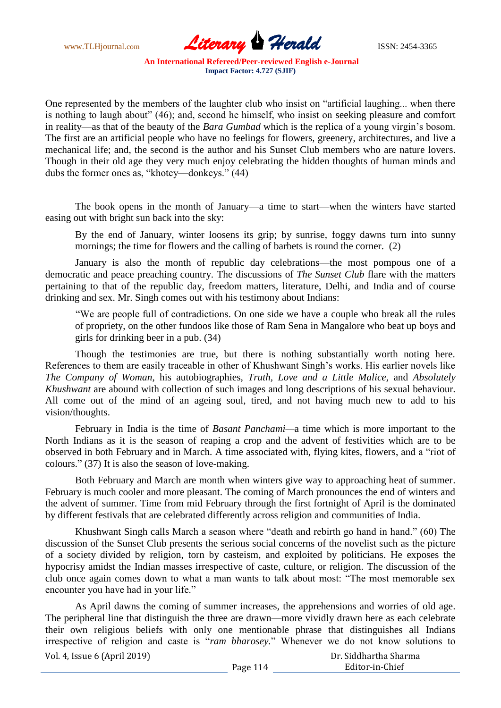www.TLHjournal.com **Literary Herald Herald** ISSN: 2454-3365

One represented by the members of the laughter club who insist on "artificial laughing... when there is nothing to laugh about" (46); and, second he himself, who insist on seeking pleasure and comfort in reality—as that of the beauty of the *Bara Gumbad* which is the replica of a young virgin"s bosom. The first are an artificial people who have no feelings for flowers, greenery, architectures, and live a mechanical life; and, the second is the author and his Sunset Club members who are nature lovers. Though in their old age they very much enjoy celebrating the hidden thoughts of human minds and dubs the former ones as, "khotey—donkeys." (44)

The book opens in the month of January—a time to start—when the winters have started easing out with bright sun back into the sky:

By the end of January, winter loosens its grip; by sunrise, foggy dawns turn into sunny mornings; the time for flowers and the calling of barbets is round the corner. (2)

January is also the month of republic day celebrations—the most pompous one of a democratic and peace preaching country. The discussions of *The Sunset Club* flare with the matters pertaining to that of the republic day, freedom matters, literature, Delhi, and India and of course drinking and sex. Mr. Singh comes out with his testimony about Indians:

"We are people full of contradictions. On one side we have a couple who break all the rules of propriety, on the other fundoos like those of Ram Sena in Mangalore who beat up boys and girls for drinking beer in a pub. (34)

Though the testimonies are true, but there is nothing substantially worth noting here. References to them are easily traceable in other of Khushwant Singh"s works. His earlier novels like *The Company of Woman*, his autobiographies, *Truth, Love and a Little Malice,* and *Absolutely Khushwant* are abound with collection of such images and long descriptions of his sexual behaviour. All come out of the mind of an ageing soul, tired, and not having much new to add to his vision/thoughts.

February in India is the time of *Basant Panchami—*a time which is more important to the North Indians as it is the season of reaping a crop and the advent of festivities which are to be observed in both February and in March. A time associated with, flying kites, flowers, and a "riot of colours." (37) It is also the season of love-making.

Both February and March are month when winters give way to approaching heat of summer. February is much cooler and more pleasant. The coming of March pronounces the end of winters and the advent of summer. Time from mid February through the first fortnight of April is the dominated by different festivals that are celebrated differently across religion and communities of India.

Khushwant Singh calls March a season where "death and rebirth go hand in hand." (60) The discussion of the Sunset Club presents the serious social concerns of the novelist such as the picture of a society divided by religion, torn by casteism, and exploited by politicians. He exposes the hypocrisy amidst the Indian masses irrespective of caste, culture, or religion. The discussion of the club once again comes down to what a man wants to talk about most: "The most memorable sex encounter you have had in your life."

As April dawns the coming of summer increases, the apprehensions and worries of old age. The peripheral line that distinguish the three are drawn—more vividly drawn here as each celebrate their own religious beliefs with only one mentionable phrase that distinguishes all Indians irrespective of religion and caste is "*ram bharosey.*" Whenever we do not know solutions to

Vol. 4, Issue 6 (April 2019)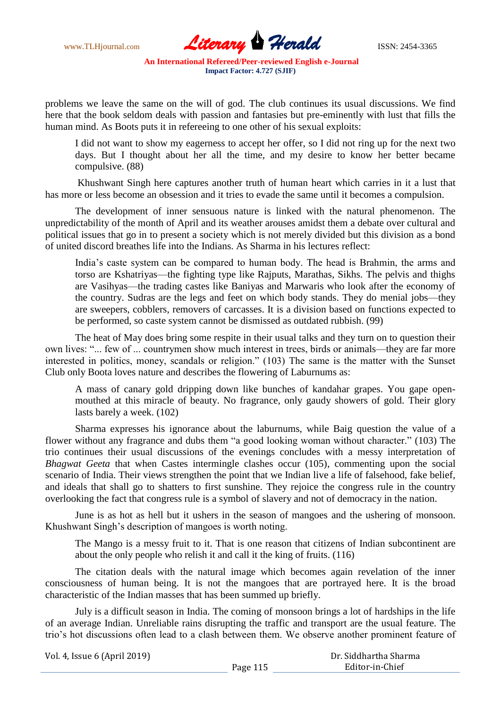www.TLHjournal.com **Literary Herald Herald** ISSN: 2454-3365

problems we leave the same on the will of god. The club continues its usual discussions. We find here that the book seldom deals with passion and fantasies but pre-eminently with lust that fills the human mind. As Boots puts it in refereeing to one other of his sexual exploits:

I did not want to show my eagerness to accept her offer, so I did not ring up for the next two days. But I thought about her all the time, and my desire to know her better became compulsive. (88)

Khushwant Singh here captures another truth of human heart which carries in it a lust that has more or less become an obsession and it tries to evade the same until it becomes a compulsion.

The development of inner sensuous nature is linked with the natural phenomenon. The unpredictability of the month of April and its weather arouses amidst them a debate over cultural and political issues that go in to present a society which is not merely divided but this division as a bond of united discord breathes life into the Indians. As Sharma in his lectures reflect:

India"s caste system can be compared to human body. The head is Brahmin, the arms and torso are Kshatriyas—the fighting type like Rajputs, Marathas, Sikhs. The pelvis and thighs are Vasihyas—the trading castes like Baniyas and Marwaris who look after the economy of the country. Sudras are the legs and feet on which body stands. They do menial jobs—they are sweepers, cobblers, removers of carcasses. It is a division based on functions expected to be performed, so caste system cannot be dismissed as outdated rubbish. (99)

The heat of May does bring some respite in their usual talks and they turn on to question their own lives: "... few of ... countrymen show much interest in trees, birds or animals—they are far more interested in politics, money, scandals or religion." (103) The same is the matter with the Sunset Club only Boota loves nature and describes the flowering of Laburnums as:

A mass of canary gold dripping down like bunches of kandahar grapes. You gape openmouthed at this miracle of beauty. No fragrance, only gaudy showers of gold. Their glory lasts barely a week. (102)

Sharma expresses his ignorance about the laburnums, while Baig question the value of a flower without any fragrance and dubs them "a good looking woman without character." (103) The trio continues their usual discussions of the evenings concludes with a messy interpretation of *Bhagwat Geeta* that when Castes intermingle clashes occur (105), commenting upon the social scenario of India. Their views strengthen the point that we Indian live a life of falsehood, fake belief, and ideals that shall go to shatters to first sunshine. They rejoice the congress rule in the country overlooking the fact that congress rule is a symbol of slavery and not of democracy in the nation.

June is as hot as hell but it ushers in the season of mangoes and the ushering of monsoon. Khushwant Singh"s description of mangoes is worth noting.

The Mango is a messy fruit to it. That is one reason that citizens of Indian subcontinent are about the only people who relish it and call it the king of fruits. (116)

The citation deals with the natural image which becomes again revelation of the inner consciousness of human being. It is not the mangoes that are portrayed here. It is the broad characteristic of the Indian masses that has been summed up briefly.

July is a difficult season in India. The coming of monsoon brings a lot of hardships in the life of an average Indian. Unreliable rains disrupting the traffic and transport are the usual feature. The trio"s hot discussions often lead to a clash between them. We observe another prominent feature of

| Vol. 4, Issue 6 (April 2019) |          | Dr. Siddhartha Sharma |
|------------------------------|----------|-----------------------|
|                              | Page 115 | Editor-in-Chief       |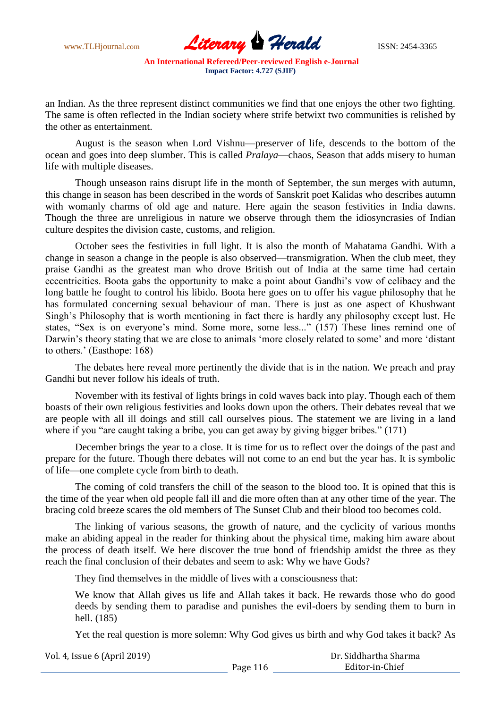www.TLHjournal.com **Literary Herald Herald** ISSN: 2454-3365

an Indian. As the three represent distinct communities we find that one enjoys the other two fighting. The same is often reflected in the Indian society where strife betwixt two communities is relished by the other as entertainment.

August is the season when Lord Vishnu—preserver of life, descends to the bottom of the ocean and goes into deep slumber. This is called *Pralaya*—chaos, Season that adds misery to human life with multiple diseases.

Though unseason rains disrupt life in the month of September, the sun merges with autumn, this change in season has been described in the words of Sanskrit poet Kalidas who describes autumn with womanly charms of old age and nature. Here again the season festivities in India dawns. Though the three are unreligious in nature we observe through them the idiosyncrasies of Indian culture despites the division caste, customs, and religion.

October sees the festivities in full light. It is also the month of Mahatama Gandhi. With a change in season a change in the people is also observed—transmigration. When the club meet, they praise Gandhi as the greatest man who drove British out of India at the same time had certain eccentricities. Boota gabs the opportunity to make a point about Gandhi"s vow of celibacy and the long battle he fought to control his libido. Boota here goes on to offer his vague philosophy that he has formulated concerning sexual behaviour of man. There is just as one aspect of Khushwant Singh"s Philosophy that is worth mentioning in fact there is hardly any philosophy except lust. He states, "Sex is on everyone's mind. Some more, some less..." (157) These lines remind one of Darwin's theory stating that we are close to animals 'more closely related to some' and more 'distant to others." (Easthope: 168)

The debates here reveal more pertinently the divide that is in the nation. We preach and pray Gandhi but never follow his ideals of truth.

November with its festival of lights brings in cold waves back into play. Though each of them boasts of their own religious festivities and looks down upon the others. Their debates reveal that we are people with all ill doings and still call ourselves pious. The statement we are living in a land where if you "are caught taking a bribe, you can get away by giving bigger bribes." (171)

December brings the year to a close. It is time for us to reflect over the doings of the past and prepare for the future. Though there debates will not come to an end but the year has. It is symbolic of life—one complete cycle from birth to death.

The coming of cold transfers the chill of the season to the blood too. It is opined that this is the time of the year when old people fall ill and die more often than at any other time of the year. The bracing cold breeze scares the old members of The Sunset Club and their blood too becomes cold.

The linking of various seasons, the growth of nature, and the cyclicity of various months make an abiding appeal in the reader for thinking about the physical time, making him aware about the process of death itself. We here discover the true bond of friendship amidst the three as they reach the final conclusion of their debates and seem to ask: Why we have Gods?

They find themselves in the middle of lives with a consciousness that:

We know that Allah gives us life and Allah takes it back. He rewards those who do good deeds by sending them to paradise and punishes the evil-doers by sending them to burn in hell. (185)

Yet the real question is more solemn: Why God gives us birth and why God takes it back? As

| Vol. 4, Issue 6 (April 2019) |          | Dr. Siddhartha Sharma |
|------------------------------|----------|-----------------------|
|                              | Page 116 | Editor-in-Chief       |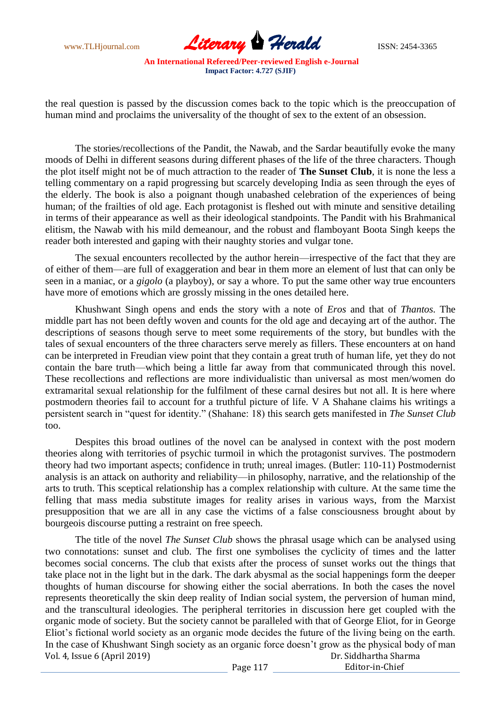www.TLHjournal.com **Literary Herald Herald** ISSN: 2454-3365

the real question is passed by the discussion comes back to the topic which is the preoccupation of human mind and proclaims the universality of the thought of sex to the extent of an obsession.

The stories/recollections of the Pandit, the Nawab, and the Sardar beautifully evoke the many moods of Delhi in different seasons during different phases of the life of the three characters. Though the plot itself might not be of much attraction to the reader of **The Sunset Club**, it is none the less a telling commentary on a rapid progressing but scarcely developing India as seen through the eyes of the elderly. The book is also a poignant though unabashed celebration of the experiences of being human; of the frailties of old age. Each protagonist is fleshed out with minute and sensitive detailing in terms of their appearance as well as their ideological standpoints. The Pandit with his Brahmanical elitism, the Nawab with his mild demeanour, and the robust and flamboyant Boota Singh keeps the reader both interested and gaping with their naughty stories and vulgar tone.

The sexual encounters recollected by the author herein—irrespective of the fact that they are of either of them—are full of exaggeration and bear in them more an element of lust that can only be seen in a maniac, or a *gigolo* (a playboy), or say a whore. To put the same other way true encounters have more of emotions which are grossly missing in the ones detailed here.

Khushwant Singh opens and ends the story with a note of *Eros* and that of *Thantos.* The middle part has not been deftly woven and counts for the old age and decaying art of the author. The descriptions of seasons though serve to meet some requirements of the story, but bundles with the tales of sexual encounters of the three characters serve merely as fillers. These encounters at on hand can be interpreted in Freudian view point that they contain a great truth of human life, yet they do not contain the bare truth—which being a little far away from that communicated through this novel. These recollections and reflections are more individualistic than universal as most men/women do extramarital sexual relationship for the fulfilment of these carnal desires but not all. It is here where postmodern theories fail to account for a truthful picture of life. V A Shahane claims his writings a persistent search in "quest for identity." (Shahane: 18) this search gets manifested in *The Sunset Club* too.

Despites this broad outlines of the novel can be analysed in context with the post modern theories along with territories of psychic turmoil in which the protagonist survives. The postmodern theory had two important aspects; confidence in truth; unreal images. (Butler: 110-11) Postmodernist analysis is an attack on authority and reliability—in philosophy, narrative, and the relationship of the arts to truth. This sceptical relationship has a complex relationship with culture. At the same time the felling that mass media substitute images for reality arises in various ways, from the Marxist presupposition that we are all in any case the victims of a false consciousness brought about by bourgeois discourse putting a restraint on free speech.

Vol. 4, Issue 6 (April 2019) Dr. Siddhartha Sharma Editor-in-Chief The title of the novel *The Sunset Club* shows the phrasal usage which can be analysed using two connotations: sunset and club. The first one symbolises the cyclicity of times and the latter becomes social concerns. The club that exists after the process of sunset works out the things that take place not in the light but in the dark. The dark abysmal as the social happenings form the deeper thoughts of human discourse for showing either the social aberrations. In both the cases the novel represents theoretically the skin deep reality of Indian social system, the perversion of human mind, and the transcultural ideologies. The peripheral territories in discussion here get coupled with the organic mode of society. But the society cannot be paralleled with that of George Eliot, for in George Eliot"s fictional world society as an organic mode decides the future of the living being on the earth. In the case of Khushwant Singh society as an organic force doesn't grow as the physical body of man